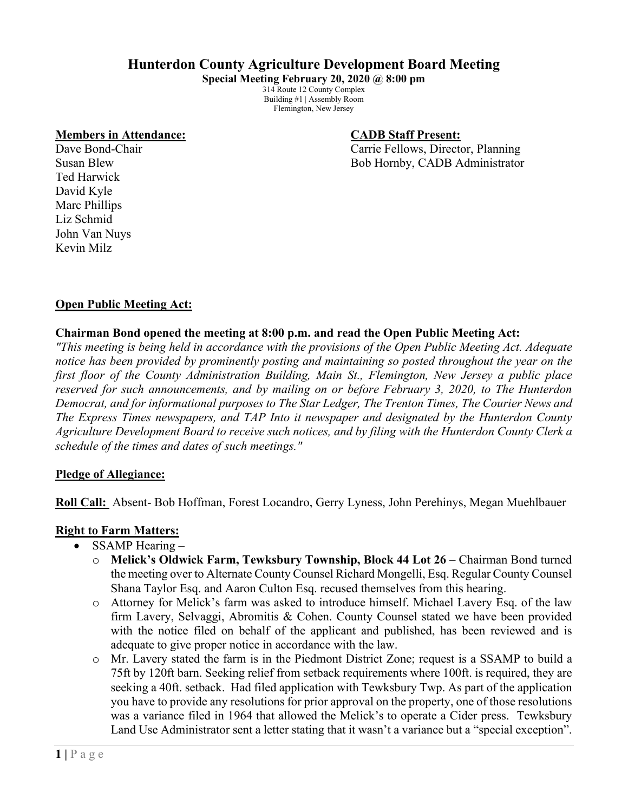# **Hunterdon County Agriculture Development Board Meeting**

**Special Meeting February 20, 2020 @ 8:00 pm** 314 Route 12 County Complex Building #1 | Assembly Room Flemington, New Jersey

#### **Members in Attendance: CADB Staff Present:**

Dave Bond-Chair **Carrie Fellows**, Director, Planning Susan Blew Bob Hornby, CADB Administrator

Ted Harwick David Kyle Marc Phillips Liz Schmid John Van Nuys Kevin Milz

## **Open Public Meeting Act:**

## **Chairman Bond opened the meeting at 8:00 p.m. and read the Open Public Meeting Act:**

*"This meeting is being held in accordance with the provisions of the Open Public Meeting Act. Adequate notice has been provided by prominently posting and maintaining so posted throughout the year on the first floor of the County Administration Building, Main St., Flemington, New Jersey a public place reserved for such announcements, and by mailing on or before February 3, 2020, to The Hunterdon Democrat, and for informational purposes to The Star Ledger, The Trenton Times, The Courier News and The Express Times newspapers, and TAP Into it newspaper and designated by the Hunterdon County Agriculture Development Board to receive such notices, and by filing with the Hunterdon County Clerk a schedule of the times and dates of such meetings."*

#### **Pledge of Allegiance:**

**Roll Call:** Absent- Bob Hoffman, Forest Locandro, Gerry Lyness, John Perehinys, Megan Muehlbauer

### **Right to Farm Matters:**

- SSAMP Hearing
	- o **Melick's Oldwick Farm, Tewksbury Township, Block 44 Lot 26** Chairman Bond turned the meeting over to Alternate County Counsel Richard Mongelli, Esq. Regular County Counsel Shana Taylor Esq. and Aaron Culton Esq. recused themselves from this hearing.
	- o Attorney for Melick's farm was asked to introduce himself. Michael Lavery Esq. of the law firm Lavery, Selvaggi, Abromitis & Cohen. County Counsel stated we have been provided with the notice filed on behalf of the applicant and published, has been reviewed and is adequate to give proper notice in accordance with the law.
	- o Mr. Lavery stated the farm is in the Piedmont District Zone; request is a SSAMP to build a 75ft by 120ft barn. Seeking relief from setback requirements where 100ft. is required, they are seeking a 40ft. setback. Had filed application with Tewksbury Twp. As part of the application you have to provide any resolutions for prior approval on the property, one of those resolutions was a variance filed in 1964 that allowed the Melick's to operate a Cider press. Tewksbury Land Use Administrator sent a letter stating that it wasn't a variance but a "special exception".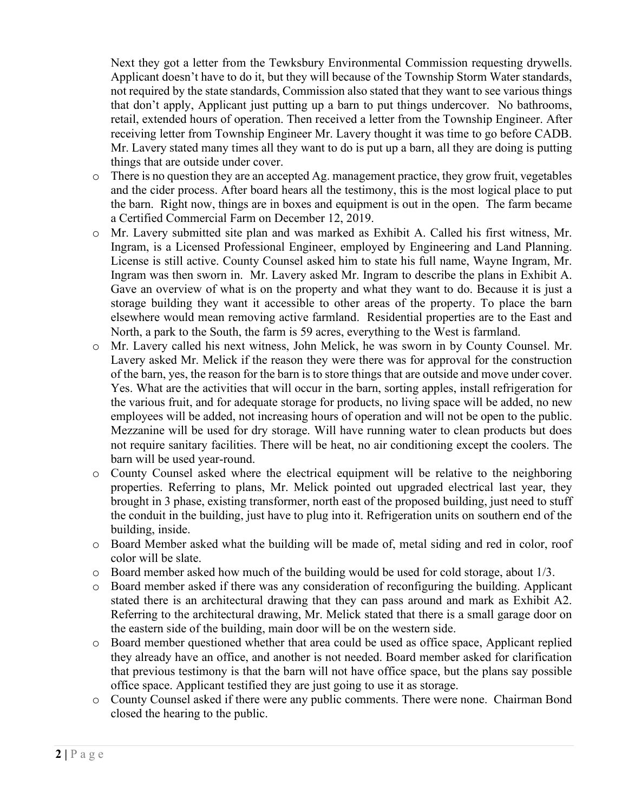Next they got a letter from the Tewksbury Environmental Commission requesting drywells. Applicant doesn't have to do it, but they will because of the Township Storm Water standards, not required by the state standards, Commission also stated that they want to see various things that don't apply, Applicant just putting up a barn to put things undercover. No bathrooms, retail, extended hours of operation. Then received a letter from the Township Engineer. After receiving letter from Township Engineer Mr. Lavery thought it was time to go before CADB. Mr. Lavery stated many times all they want to do is put up a barn, all they are doing is putting things that are outside under cover.

- $\circ$  There is no question they are an accepted Ag. management practice, they grow fruit, vegetables and the cider process. After board hears all the testimony, this is the most logical place to put the barn. Right now, things are in boxes and equipment is out in the open. The farm became a Certified Commercial Farm on December 12, 2019.
- o Mr. Lavery submitted site plan and was marked as Exhibit A. Called his first witness, Mr. Ingram, is a Licensed Professional Engineer, employed by Engineering and Land Planning. License is still active. County Counsel asked him to state his full name, Wayne Ingram, Mr. Ingram was then sworn in. Mr. Lavery asked Mr. Ingram to describe the plans in Exhibit A. Gave an overview of what is on the property and what they want to do. Because it is just a storage building they want it accessible to other areas of the property. To place the barn elsewhere would mean removing active farmland. Residential properties are to the East and North, a park to the South, the farm is 59 acres, everything to the West is farmland.
- o Mr. Lavery called his next witness, John Melick, he was sworn in by County Counsel. Mr. Lavery asked Mr. Melick if the reason they were there was for approval for the construction of the barn, yes, the reason for the barn is to store things that are outside and move under cover. Yes. What are the activities that will occur in the barn, sorting apples, install refrigeration for the various fruit, and for adequate storage for products, no living space will be added, no new employees will be added, not increasing hours of operation and will not be open to the public. Mezzanine will be used for dry storage. Will have running water to clean products but does not require sanitary facilities. There will be heat, no air conditioning except the coolers. The barn will be used year-round.
- o County Counsel asked where the electrical equipment will be relative to the neighboring properties. Referring to plans, Mr. Melick pointed out upgraded electrical last year, they brought in 3 phase, existing transformer, north east of the proposed building, just need to stuff the conduit in the building, just have to plug into it. Refrigeration units on southern end of the building, inside.
- o Board Member asked what the building will be made of, metal siding and red in color, roof color will be slate.
- $\circ$  Board member asked how much of the building would be used for cold storage, about 1/3.
- o Board member asked if there was any consideration of reconfiguring the building. Applicant stated there is an architectural drawing that they can pass around and mark as Exhibit A2. Referring to the architectural drawing, Mr. Melick stated that there is a small garage door on the eastern side of the building, main door will be on the western side.
- o Board member questioned whether that area could be used as office space, Applicant replied they already have an office, and another is not needed. Board member asked for clarification that previous testimony is that the barn will not have office space, but the plans say possible office space. Applicant testified they are just going to use it as storage.
- o County Counsel asked if there were any public comments. There were none. Chairman Bond closed the hearing to the public.